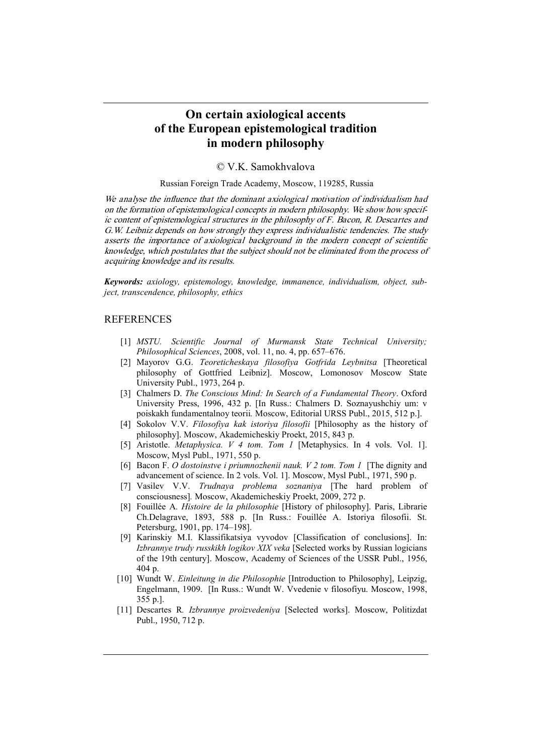## **On certain axiological accents of the European epistemological tradition in modern philosophy**

© V.K. Samokhvalova

Russian Foreign Trade Academy, Moscow, 119285, Russia

We analyse the influence that the dominant axiological motivation of individualism had on the formation of epistemological concepts in modern philosophy. We show how specific content of epistemological structures in the philosophy of F. Bacon, R. Descartes and G.W. Leibniz depends on how strongly they express individualistic tendencies. The study asserts the importance of axiological background in the modern concept of scientific knowledge, which postulates that the subject should not be eliminated from the process of acquiring knowledge and its results.

*Keywords: axiology, epistemology, knowledge, immanence, individualism, object, subject, transcendence, philosophy, ethics*

## REFERENCES

- [1] *MSTU. Scientific Journal of Murmansk State Technical University; Philosophical Sciences*, 2008, vol. 11, no. 4, pp. 657–676.
- [2] Mayorov G.G. *Teoreticheskaya filosofiya Gotfrida Leybnitsa* [Theoretical philosophy of Gottfried Leibniz]. Moscow, Lomonosov Moscow State University Publ., 1973, 264 p.
- [3] Chalmers D. *The Conscious Mind: In Search of a Fundamental Theory*. Oxford University Press, 1996, 432 p. [In Russ.: Chalmers D. Soznayushchiy um: v poiskakh fundamentalnoy teorii*.* Moscow, Editorial URSS Publ., 2015, 512 p.].
- [4] Sokolov V.V. *Filosofiya kak istoriya filosofii* [Philosophy as the history of philosophy]. Moscow, Akademicheskiy Proekt, 2015, 843 p.
- [5] Aristotle. *Metaphysica. V 4 tom. Tom 1* [Metaphysics. In 4 vols. Vol. 1]. Moscow, Mysl Publ., 1971, 550 p.
- [6] Bacon F. *O dostoinstve i priumnozhenii nauk. V 2 tom. Tom 1* [The dignity and advancement of science. In 2 vols. Vol. 1]. Moscow, Mysl Publ., 1971, 590 p.
- [7] Vasilev V.V. *Trudnaya problema soznaniya* [The hard problem of consciousness]*.* Moscow, Akademicheskiy Proekt, 2009, 272 p.
- [8] Fouillée A. *Histoire de la philosophie* [History of philosophy]. Paris, Librarie Ch.Delagrave, 1893, 588 p. [In Russ.: Fouillée A. Istoriya filosofii. St. Petersburg, 1901, pp. 174–198].
- [9] Karinskiy M.I. Klassifikatsiya vyvodov [Classification of conclusions]. In: *Izbrannye trudy russkikh logikov XIX veka* [Selected works by Russian logicians of the 19th century]. Moscow, Academy of Sciences of the USSR Publ., 1956, 404 p.
- [10] Wundt W. *Einleitung in die Philosophie* [Introduction to Philosophy], Leipzig, Engelmann, 1909. [In Russ.: Wundt W. Vvedenie v filosofiyu. Moscow, 1998, 355 p.].
- [11] Descartes R*. Izbrannye proizvedeniya* [Selected works]. Moscow, Politizdat Publ., 1950, 712 p.